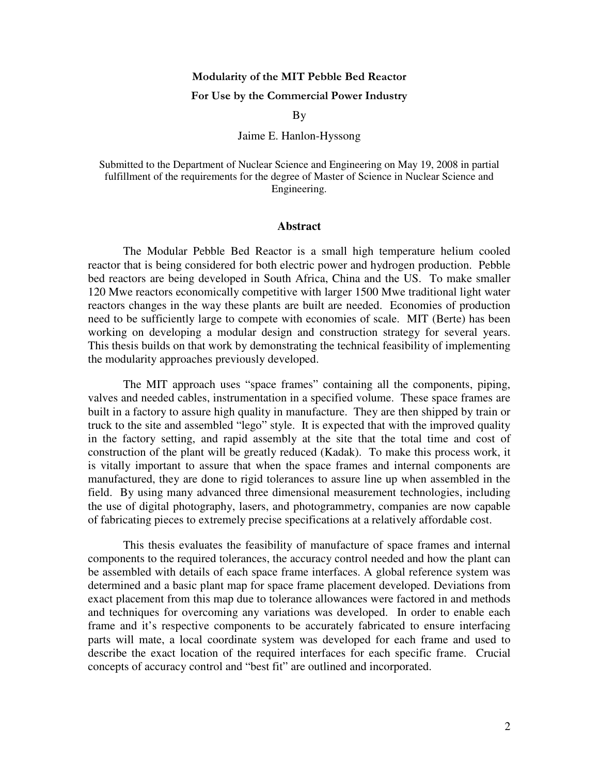## Modularity of the MIT Pebble Bed Reactor

## For Use by the Commercial Power Industry

By

## Jaime E. Hanlon-Hyssong

Submitted to the Department of Nuclear Science and Engineering on May 19, 2008 in partial fulfillment of the requirements for the degree of Master of Science in Nuclear Science and Engineering.

## **Abstract**

The Modular Pebble Bed Reactor is a small high temperature helium cooled reactor that is being considered for both electric power and hydrogen production. Pebble bed reactors are being developed in South Africa, China and the US. To make smaller 120 Mwe reactors economically competitive with larger 1500 Mwe traditional light water reactors changes in the way these plants are built are needed. Economies of production need to be sufficiently large to compete with economies of scale. MIT (Berte) has been working on developing a modular design and construction strategy for several years. This thesis builds on that work by demonstrating the technical feasibility of implementing the modularity approaches previously developed.

The MIT approach uses "space frames" containing all the components, piping, valves and needed cables, instrumentation in a specified volume. These space frames are built in a factory to assure high quality in manufacture. They are then shipped by train or truck to the site and assembled "lego" style. It is expected that with the improved quality in the factory setting, and rapid assembly at the site that the total time and cost of construction of the plant will be greatly reduced (Kadak). To make this process work, it is vitally important to assure that when the space frames and internal components are manufactured, they are done to rigid tolerances to assure line up when assembled in the field. By using many advanced three dimensional measurement technologies, including the use of digital photography, lasers, and photogrammetry, companies are now capable of fabricating pieces to extremely precise specifications at a relatively affordable cost.

This thesis evaluates the feasibility of manufacture of space frames and internal components to the required tolerances, the accuracy control needed and how the plant can be assembled with details of each space frame interfaces. A global reference system was determined and a basic plant map for space frame placement developed. Deviations from exact placement from this map due to tolerance allowances were factored in and methods and techniques for overcoming any variations was developed. In order to enable each frame and it's respective components to be accurately fabricated to ensure interfacing parts will mate, a local coordinate system was developed for each frame and used to describe the exact location of the required interfaces for each specific frame. Crucial concepts of accuracy control and "best fit" are outlined and incorporated.